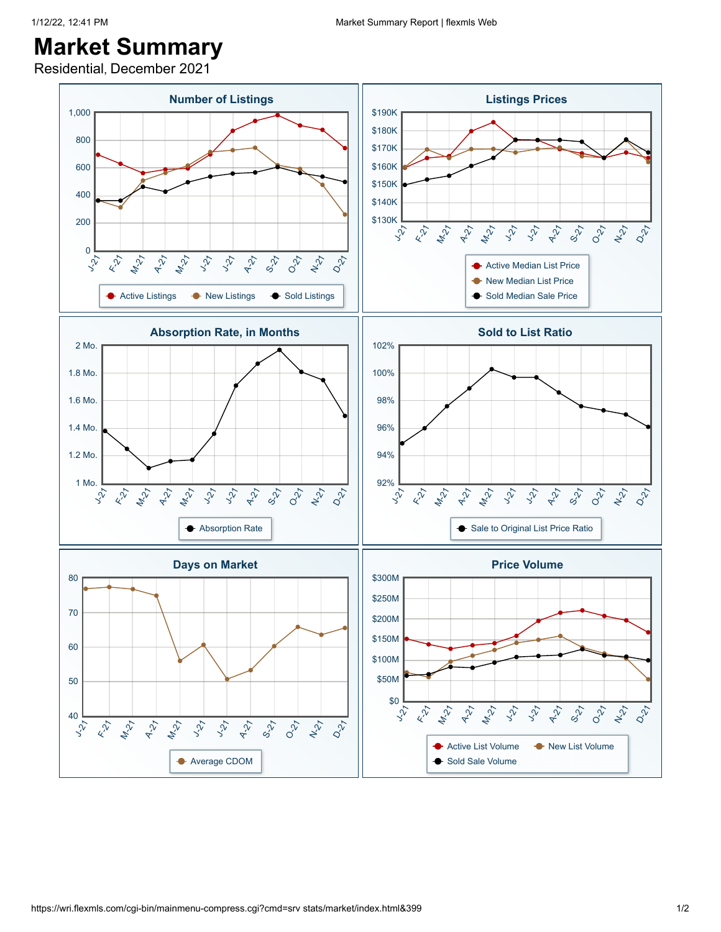Residential, December 2021

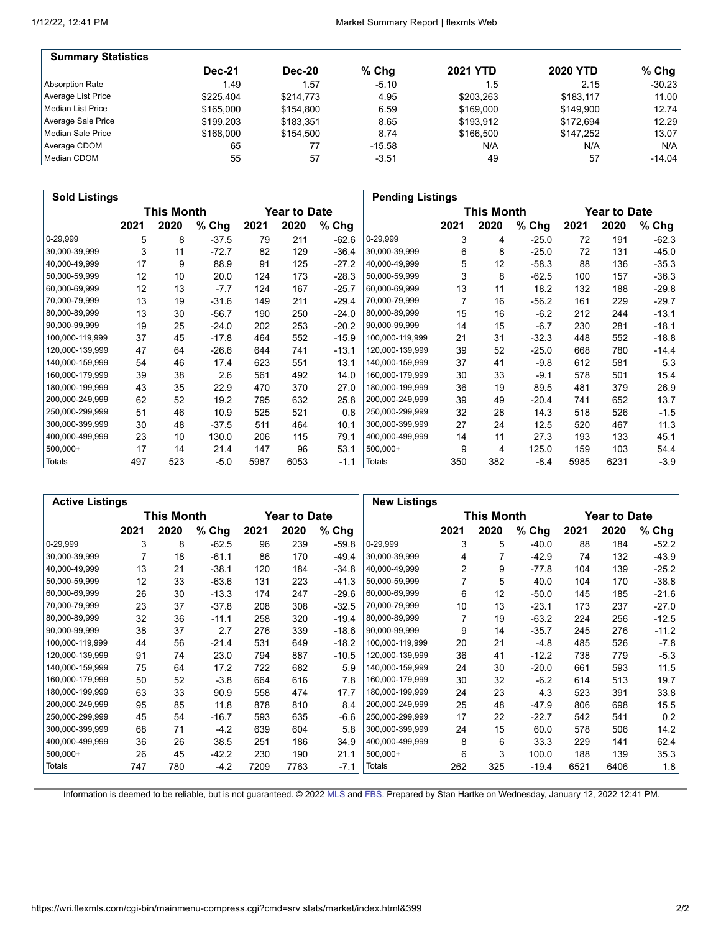| <b>Summary Statistics</b> |               |               |          |                 |                 |          |
|---------------------------|---------------|---------------|----------|-----------------|-----------------|----------|
|                           | <b>Dec-21</b> | <b>Dec-20</b> | % Chq    | <b>2021 YTD</b> | <b>2020 YTD</b> | $%$ Chg  |
| Absorption Rate           | 1.49          | 1.57          | $-5.10$  | 1.5             | 2.15            | $-30.23$ |
| Average List Price        | \$225.404     | \$214.773     | 4.95     | \$203.263       | \$183.117       | 11.00    |
| Median List Price         | \$165,000     | \$154.800     | 6.59     | \$169.000       | \$149.900       | 12.74    |
| Average Sale Price        | \$199.203     | \$183.351     | 8.65     | \$193.912       | \$172.694       | 12.29    |
| Median Sale Price         | \$168,000     | \$154.500     | 8.74     | \$166.500       | \$147.252       | 13.07    |
| Average CDOM              | 65            | 77            | $-15.58$ | N/A             | N/A             | N/A      |
| Median CDOM               | 55            | 57            | $-3.51$  | 49              | 57              | $-14.04$ |

| <b>Sold Listings</b> |      |            |         |      |                     |         |                 | <b>Pending Listings</b> |            |         |      |                     |         |
|----------------------|------|------------|---------|------|---------------------|---------|-----------------|-------------------------|------------|---------|------|---------------------|---------|
|                      |      | This Month |         |      | <b>Year to Date</b> |         |                 |                         | This Month |         |      | <b>Year to Date</b> |         |
|                      | 2021 | 2020       | % Chg   | 2021 | 2020                | % Chg   |                 | 2021                    | 2020       | % Chg   | 2021 | 2020                | % Chg   |
| 0-29,999             | 5    | 8          | $-37.5$ | 79   | 211                 | $-62.6$ | 0-29,999        | 3                       | 4          | $-25.0$ | 72   | 191                 | $-62.3$ |
| 30,000-39,999        | 3    | 11         | $-72.7$ | 82   | 129                 | $-36.4$ | 30,000-39,999   | 6                       | 8          | $-25.0$ | 72   | 131                 | $-45.0$ |
| 40,000-49,999        | 17   | 9          | 88.9    | 91   | 125                 | $-27.2$ | 40,000-49,999   | 5                       | 12         | $-58.3$ | 88   | 136                 | $-35.3$ |
| 50,000-59,999        | 12   | 10         | 20.0    | 124  | 173                 | $-28.3$ | 50,000-59,999   | 3                       | 8          | $-62.5$ | 100  | 157                 | $-36.3$ |
| 60,000-69,999        | 12   | 13         | $-7.7$  | 124  | 167                 | $-25.7$ | 60,000-69,999   | 13                      | 11         | 18.2    | 132  | 188                 | -29.8   |
| 70,000-79,999        | 13   | 19         | $-31.6$ | 149  | 211                 | $-29.4$ | 70,000-79,999   |                         | 16         | $-56.2$ | 161  | 229                 | $-29.7$ |
| 80,000-89,999        | 13   | 30         | $-56.7$ | 190  | 250                 | $-24.0$ | 80,000-89,999   | 15                      | 16         | $-6.2$  | 212  | 244                 | $-13.1$ |
| 90,000-99,999        | 19   | 25         | $-24.0$ | 202  | 253                 | $-20.2$ | 90,000-99,999   | 14                      | 15         | $-6.7$  | 230  | 281                 | $-18.1$ |
| 100,000-119,999      | 37   | 45         | $-17.8$ | 464  | 552                 | $-15.9$ | 100,000-119,999 | 21                      | 31         | $-32.3$ | 448  | 552                 | $-18.8$ |
| 120,000-139,999      | 47   | 64         | $-26.6$ | 644  | 741                 | $-13.1$ | 120,000-139,999 | 39                      | 52         | $-25.0$ | 668  | 780                 | $-14.4$ |
| 140,000-159,999      | 54   | 46         | 17.4    | 623  | 551                 | 13.1    | 140,000-159,999 | 37                      | 41         | $-9.8$  | 612  | 581                 | 5.3     |
| 160,000-179,999      | 39   | 38         | 2.6     | 561  | 492                 | 14.0    | 160,000-179,999 | 30                      | 33         | $-9.1$  | 578  | 501                 | 15.4    |
| 180,000-199,999      | 43   | 35         | 22.9    | 470  | 370                 | 27.0    | 180,000-199,999 | 36                      | 19         | 89.5    | 481  | 379                 | 26.9    |
| 200,000-249,999      | 62   | 52         | 19.2    | 795  | 632                 | 25.8    | 200,000-249,999 | 39                      | 49         | $-20.4$ | 741  | 652                 | 13.7    |
| 250,000-299,999      | 51   | 46         | 10.9    | 525  | 521                 | 0.8     | 250,000-299,999 | 32                      | 28         | 14.3    | 518  | 526                 | $-1.5$  |
| 300,000-399,999      | 30   | 48         | $-37.5$ | 511  | 464                 | 10.1    | 300,000-399,999 | 27                      | 24         | 12.5    | 520  | 467                 | 11.3    |
| 400,000-499,999      | 23   | 10         | 130.0   | 206  | 115                 | 79.1    | 400,000-499,999 | 14                      | 11         | 27.3    | 193  | 133                 | 45.1    |
| 500,000+             | 17   | 14         | 21.4    | 147  | 96                  | 53.1    | $500,000+$      | 9                       | 4          | 125.0   | 159  | 103                 | 54.4    |
| Totals               | 497  | 523        | $-5.0$  | 5987 | 6053                | $-1.1$  | Totals          | 350                     | 382        | $-8.4$  | 5985 | 6231                | $-3.9$  |

|                 | <b>Active Listings</b> |                   |         |      |                     |         |                 | <b>New Listings</b> |            |         |      |                     |         |
|-----------------|------------------------|-------------------|---------|------|---------------------|---------|-----------------|---------------------|------------|---------|------|---------------------|---------|
|                 |                        | <b>This Month</b> |         |      | <b>Year to Date</b> |         |                 |                     | This Month |         |      | <b>Year to Date</b> |         |
|                 | 2021                   | 2020              | % Chg   | 2021 | 2020                | % Chg   |                 | 2021                | 2020       | % Chg   | 2021 | 2020                | % Chg   |
| 0-29,999        | 3                      | 8                 | $-62.5$ | 96   | 239                 | $-59.8$ | 0-29,999        | 3                   | 5          | $-40.0$ | 88   | 184                 | $-52.2$ |
| 30,000-39,999   |                        | 18                | $-61.1$ | 86   | 170                 | $-49.4$ | 30,000-39,999   | 4                   |            | $-42.9$ | 74   | 132                 | $-43.9$ |
| 40,000-49,999   | 13                     | 21                | $-38.1$ | 120  | 184                 | $-34.8$ | 40,000-49,999   | 2                   | 9          | $-77.8$ | 104  | 139                 | $-25.2$ |
| 50,000-59,999   | 12                     | 33                | -63.6   | 131  | 223                 | $-41.3$ | 50,000-59,999   |                     | 5          | 40.0    | 104  | 170                 | $-38.8$ |
| 60,000-69,999   | 26                     | 30                | $-13.3$ | 174  | 247                 | -29.6   | 60,000-69,999   | 6                   | 12         | $-50.0$ | 145  | 185                 | $-21.6$ |
| 70,000-79,999   | 23                     | 37                | $-37.8$ | 208  | 308                 | $-32.5$ | 70,000-79,999   | 10                  | 13         | $-23.1$ | 173  | 237                 | $-27.0$ |
| 80,000-89,999   | 32                     | 36                | $-11.1$ | 258  | 320                 | $-19.4$ | 80,000-89,999   |                     | 19         | $-63.2$ | 224  | 256                 | $-12.5$ |
| 90,000-99,999   | 38                     | 37                | 2.7     | 276  | 339                 | $-18.6$ | 90,000-99,999   | 9                   | 14         | $-35.7$ | 245  | 276                 | $-11.2$ |
| 100,000-119,999 | 44                     | 56                | $-21.4$ | 531  | 649                 | $-18.2$ | 100,000-119,999 | 20                  | 21         | $-4.8$  | 485  | 526                 | $-7.8$  |
| 120,000-139,999 | 91                     | 74                | 23.0    | 794  | 887                 | $-10.5$ | 120,000-139,999 | 36                  | 41         | $-12.2$ | 738  | 779                 | $-5.3$  |
| 140,000-159,999 | 75                     | 64                | 17.2    | 722  | 682                 | 5.9     | 140,000-159,999 | 24                  | 30         | $-20.0$ | 661  | 593                 | 11.5    |
| 160,000-179,999 | 50                     | 52                | $-3.8$  | 664  | 616                 | 7.8     | 160,000-179,999 | 30                  | 32         | $-6.2$  | 614  | 513                 | 19.7    |
| 180,000-199,999 | 63                     | 33                | 90.9    | 558  | 474                 | 17.7    | 180,000-199,999 | 24                  | 23         | 4.3     | 523  | 391                 | 33.8    |
| 200,000-249,999 | 95                     | 85                | 11.8    | 878  | 810                 | 8.4     | 200,000-249,999 | 25                  | 48         | $-47.9$ | 806  | 698                 | 15.5    |
| 250,000-299,999 | 45                     | 54                | $-16.7$ | 593  | 635                 | $-6.6$  | 250,000-299,999 | 17                  | 22         | $-22.7$ | 542  | 541                 | 0.2     |
| 300,000-399,999 | 68                     | 71                | $-4.2$  | 639  | 604                 | 5.8     | 300,000-399,999 | 24                  | 15         | 60.0    | 578  | 506                 | 14.2    |
| 400,000-499,999 | 36                     | 26                | 38.5    | 251  | 186                 | 34.9    | 400,000-499,999 | 8                   | 6          | 33.3    | 229  | 141                 | 62.4    |
| 500,000+        | 26                     | 45                | -42.2   | 230  | 190                 | 21.1    | 500,000+        | 6                   | 3          | 100.0   | 188  | 139                 | 35.3    |
| Totals          | 747                    | 780               | $-4.2$  | 7209 | 7763                | $-7.1$  | Totals          | 262                 | 325        | $-19.4$ | 6521 | 6406                | 1.8     |

Information is deemed to be reliable, but is not guaranteed. © 2022 [MLS](http://www.wristinc.com/) and [FBS.](http://www.flexmls.com/copyright_notice.html?2) Prepared by Stan Hartke on Wednesday, January 12, 2022 12:41 PM.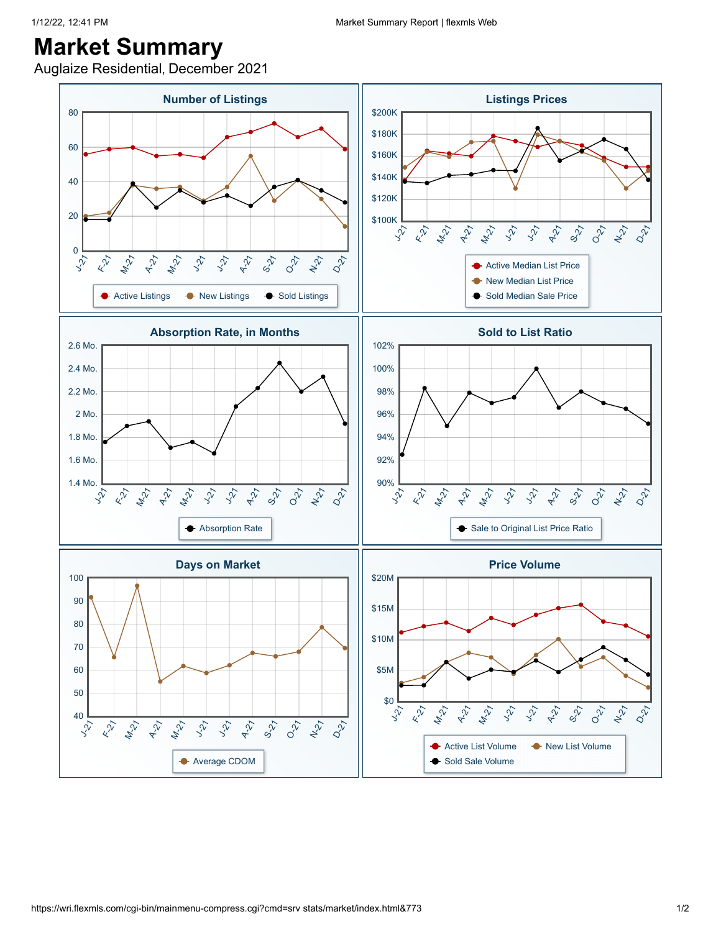Auglaize Residential, December 2021

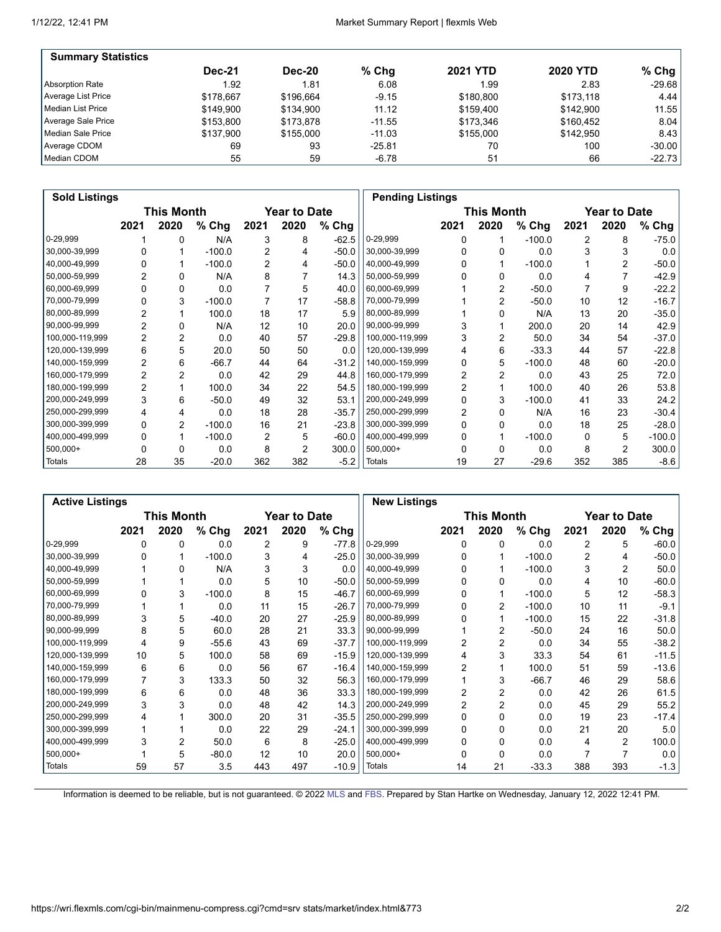| <b>Summary Statistics</b> |               |               |          |                 |                 |          |
|---------------------------|---------------|---------------|----------|-----------------|-----------------|----------|
|                           | <b>Dec-21</b> | <b>Dec-20</b> | $%$ Chq  | <b>2021 YTD</b> | <b>2020 YTD</b> | $%$ Chg  |
| Absorption Rate           | 1.92          | 1.81          | 6.08     | 1.99            | 2.83            | $-29.68$ |
| Average List Price        | \$178.667     | \$196.664     | $-9.15$  | \$180.800       | \$173.118       | 4.44     |
| Median List Price         | \$149.900     | \$134.900     | 11.12    | \$159.400       | \$142.900       | 11.55    |
| Average Sale Price        | \$153,800     | \$173,878     | $-11.55$ | \$173,346       | \$160.452       | 8.04     |
| Median Sale Price         | \$137.900     | \$155,000     | $-11.03$ | \$155,000       | \$142.950       | 8.43     |
| Average CDOM              | 69            | 93            | $-25.81$ | 70              | 100             | $-30.00$ |
| Median CDOM               | 55            | 59            | $-6.78$  | 51              | 66              | $-22.73$ |

| <b>Sold Listings</b> |                |                   |          |      |                     |         |                 | <b>Pending Listings</b> |            |          |      |                     |          |
|----------------------|----------------|-------------------|----------|------|---------------------|---------|-----------------|-------------------------|------------|----------|------|---------------------|----------|
|                      |                | <b>This Month</b> |          |      | <b>Year to Date</b> |         |                 |                         | This Month |          |      | <b>Year to Date</b> |          |
|                      | 2021           | 2020              | % Chg    | 2021 | 2020                | % Chg   |                 | 2021                    | 2020       | $%$ Chg  | 2021 | 2020                | $%$ Chg  |
| 0-29,999             |                | 0                 | N/A      | 3    | 8                   | $-62.5$ | 0-29,999        | 0                       |            | $-100.0$ | 2    | 8                   | $-75.0$  |
| 30,000-39,999        |                |                   | $-100.0$ | 2    | 4                   | $-50.0$ | 30,000-39,999   |                         | 0          | 0.0      |      | 3                   | 0.0      |
| 40,000-49,999        | 0              |                   | $-100.0$ | 2    | 4                   | $-50.0$ | 40,000-49,999   | <sup>0</sup>            |            | $-100.0$ |      | 2                   | $-50.0$  |
| 50,000-59,999        | 2              | 0                 | N/A      | 8    |                     | 14.3    | 50,000-59,999   |                         | 0          | 0.0      | 4    |                     | $-42.9$  |
| 60,000-69,999        |                | 0                 | 0.0      |      | 5                   | 40.0    | 60,000-69,999   |                         | 2          | $-50.0$  |      | 9                   | $-22.2$  |
| 70,000-79,999        | 0              | 3                 | $-100.0$ |      | 17                  | $-58.8$ | 70,000-79,999   |                         | 2          | $-50.0$  | 10   | 12                  | $-16.7$  |
| 80,000-89,999        | 2              |                   | 100.0    | 18   | 17                  | 5.9     | 80,000-89,999   |                         | $\Omega$   | N/A      | 13   | 20                  | $-35.0$  |
| 90,000-99,999        | 2              | 0                 | N/A      | 12   | 10                  | 20.0    | 90,000-99,999   |                         |            | 200.0    | 20   | 14                  | 42.9     |
| 100,000-119,999      | $\overline{2}$ | 2                 | 0.0      | 40   | 57                  | $-29.8$ | 100,000-119,999 |                         | 2          | 50.0     | 34   | 54                  | $-37.0$  |
| 120,000-139,999      | 6              | 5                 | 20.0     | 50   | 50                  | 0.0     | 120,000-139,999 | 4                       | 6          | $-33.3$  | 44   | 57                  | $-22.8$  |
| 140,000-159,999      | 2              | 6                 | $-66.7$  | 44   | 64                  | $-31.2$ | 140,000-159,999 | $\Omega$                | 5          | $-100.0$ | 48   | 60                  | $-20.0$  |
| 160,000-179,999      | $\overline{2}$ | 2                 | 0.0      | 42   | 29                  | 44.8    | 160,000-179,999 | 2                       | 2          | 0.0      | 43   | 25                  | 72.0     |
| 180,000-199,999      | $\overline{2}$ |                   | 100.0    | 34   | 22                  | 54.5    | 180,000-199,999 | $\overline{2}$          |            | 100.0    | 40   | 26                  | 53.8     |
| 200,000-249,999      | 3              | 6                 | $-50.0$  | 49   | 32                  | 53.1    | 200,000-249,999 | $\Omega$                | 3          | $-100.0$ | 41   | 33                  | 24.2     |
| 250,000-299,999      | 4              | 4                 | 0.0      | 18   | 28                  | $-35.7$ | 250,000-299,999 | 2                       | 0          | N/A      | 16   | 23                  | $-30.4$  |
| 300,000-399,999      | 0              | $\overline{2}$    | $-100.0$ | 16   | 21                  | $-23.8$ | 300,000-399,999 | 0                       | 0          | 0.0      | 18   | 25                  | $-28.0$  |
| 400,000-499,999      | 0              |                   | $-100.0$ | 2    | 5                   | $-60.0$ | 400,000-499,999 | <sup>0</sup>            |            | $-100.0$ | 0    | 5                   | $-100.0$ |
| 500,000+             | 0              | 0                 | 0.0      | 8    | 2                   | 300.0   | $500,000+$      |                         | 0          | 0.0      | 8    | 2                   | 300.0    |
| Totals               | 28             | 35                | $-20.0$  | 362  | 382                 | $-5.2$  | Totals          | 19                      | 27         | -29.6    | 352  | 385                 | $-8.6$   |

|                 | <b>Active Listings</b> |                   |          |      |                     |         |                 | <b>New Listings</b> |                   |          |      |                     |         |
|-----------------|------------------------|-------------------|----------|------|---------------------|---------|-----------------|---------------------|-------------------|----------|------|---------------------|---------|
|                 |                        | <b>This Month</b> |          |      | <b>Year to Date</b> |         |                 |                     | <b>This Month</b> |          |      | <b>Year to Date</b> |         |
|                 | 2021                   | 2020              | $%$ Chg  | 2021 | 2020                | $%$ Chg |                 | 2021                | 2020              | % Chg    | 2021 | 2020                | $%$ Chg |
| 0-29,999        | 0                      | 0                 | 0.0      | 2    | 9                   | $-77.8$ | 0-29,999        | 0                   | $\Omega$          | 0.0      |      | 5                   | $-60.0$ |
| 30,000-39,999   |                        |                   | $-100.0$ | 3    | 4                   | $-25.0$ | 30,000-39,999   |                     |                   | $-100.0$ | 2    | 4                   | $-50.0$ |
| 40,000-49,999   |                        | 0                 | N/A      | 3    | 3                   | 0.0     | 40,000-49,999   | <sup>0</sup>        |                   | $-100.0$ | 3    | 2                   | 50.0    |
| 50,000-59,999   |                        |                   | 0.0      | 5    | 10                  | $-50.0$ | 50,000-59,999   |                     |                   | 0.0      | 4    | 10                  | $-60.0$ |
| 60,000-69,999   |                        | 3                 | $-100.0$ | 8    | 15                  | $-46.7$ | 60,000-69,999   |                     |                   | $-100.0$ | 5    | 12                  | $-58.3$ |
| 70,000-79,999   |                        |                   | 0.0      | 11   | 15                  | $-26.7$ | 70,000-79,999   | <sup>0</sup>        | $\overline{2}$    | $-100.0$ | 10   | 11                  | $-9.1$  |
| 80,000-89,999   | 3                      | 5                 | -40.0    | 20   | 27                  | $-25.9$ | 80,000-89,999   |                     |                   | $-100.0$ | 15   | 22                  | -31.8   |
| 90,000-99,999   | 8                      | 5                 | 60.0     | 28   | 21                  | 33.3    | 90,000-99,999   |                     | 2                 | $-50.0$  | 24   | 16                  | 50.0    |
| 100,000-119,999 | 4                      | 9                 | $-55.6$  | 43   | 69                  | $-37.7$ | 100,000-119,999 | 2                   | $\overline{2}$    | 0.0      | 34   | 55                  | $-38.2$ |
| 120,000-139,999 | 10                     | 5                 | 100.0    | 58   | 69                  | $-15.9$ | 120,000-139,999 | 4                   | 3                 | 33.3     | 54   | 61                  | $-11.5$ |
| 140,000-159,999 | 6                      | 6                 | 0.0      | 56   | 67                  | $-16.4$ | 140,000-159,999 | 2                   |                   | 100.0    | 51   | 59                  | $-13.6$ |
| 160,000-179,999 | 7                      | 3                 | 133.3    | 50   | 32                  | 56.3    | 160,000-179,999 |                     | 3                 | $-66.7$  | 46   | 29                  | 58.6    |
| 180,000-199,999 | 6                      | 6                 | 0.0      | 48   | 36                  | 33.3    | 180,000-199,999 | 2                   | 2                 | 0.0      | 42   | 26                  | 61.5    |
| 200,000-249,999 | 3                      | 3                 | 0.0      | 48   | 42                  | 14.3    | 200,000-249,999 | 2                   | 2                 | 0.0      | 45   | 29                  | 55.2    |
| 250,000-299,999 |                        |                   | 300.0    | 20   | 31                  | $-35.5$ | 250,000-299,999 |                     | 0                 | 0.0      | 19   | 23                  | $-17.4$ |
| 300,000-399,999 |                        |                   | 0.0      | 22   | 29                  | $-24.1$ | 300,000-399,999 | 0                   | 0                 | 0.0      | 21   | 20                  | 5.0     |
| 400,000-499,999 | 3                      | 2                 | 50.0     | 6    | 8                   | $-25.0$ | 400,000-499,999 | 0                   | $\Omega$          | 0.0      | 4    | 2                   | 100.0   |
| 500,000+        |                        | 5                 | $-80.0$  | 12   | 10                  | 20.0    | $500,000+$      | <sup>0</sup>        | $\Omega$          | 0.0      |      |                     | 0.0     |
| Totals          | 59                     | 57                | 3.5      | 443  | 497                 | $-10.9$ | Totals          | 14                  | 21                | $-33.3$  | 388  | 393                 | $-1.3$  |

Information is deemed to be reliable, but is not guaranteed. © 2022 [MLS](http://www.wristinc.com/) and [FBS.](http://www.flexmls.com/copyright_notice.html?2) Prepared by Stan Hartke on Wednesday, January 12, 2022 12:41 PM.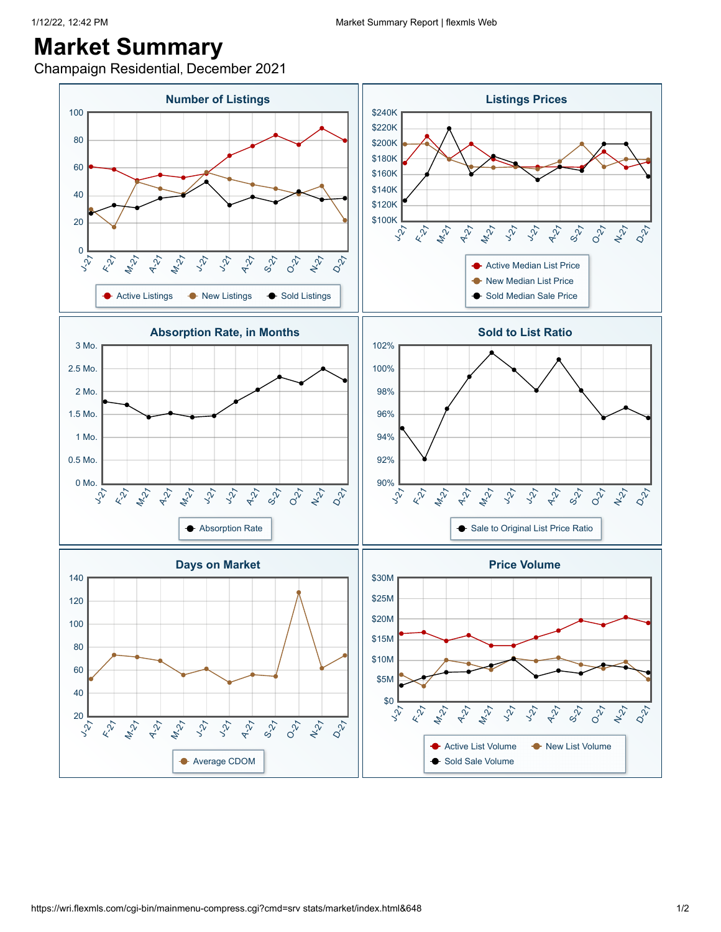Champaign Residential, December 2021

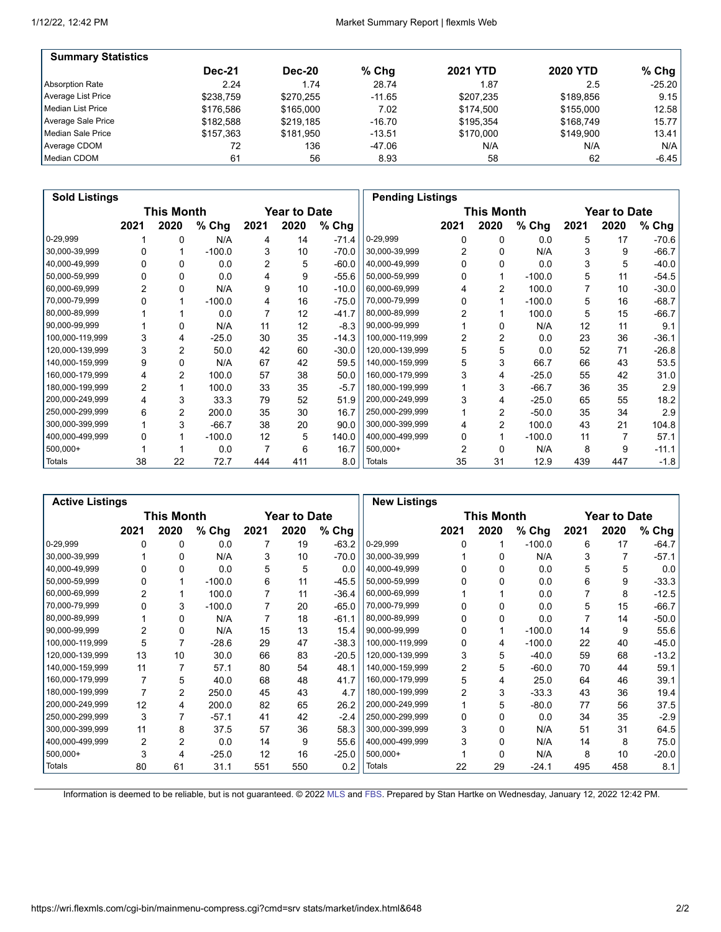| <b>Summary Statistics</b> |               |               |          |                 |                 |          |
|---------------------------|---------------|---------------|----------|-----------------|-----------------|----------|
|                           | <b>Dec-21</b> | <b>Dec-20</b> | % Chq    | <b>2021 YTD</b> | <b>2020 YTD</b> | $%$ Chg  |
| Absorption Rate           | 2.24          | 1.74          | 28.74    | 1.87            | 2.5             | $-25.20$ |
| Average List Price        | \$238.759     | \$270.255     | $-11.65$ | \$207.235       | \$189.856       | 9.15     |
| Median List Price         | \$176.586     | \$165,000     | 7.02     | \$174.500       | \$155,000       | 12.58    |
| Average Sale Price        | \$182.588     | \$219.185     | $-16.70$ | \$195.354       | \$168.749       | 15.77    |
| Median Sale Price         | \$157.363     | \$181.950     | $-13.51$ | \$170,000       | \$149.900       | 13.41    |
| Average CDOM              | 72            | 136           | -47.06   | N/A             | N/A             | N/A      |
| Median CDOM               | 61            | 56            | 8.93     | 58              | 62              | $-6.45$  |

| <b>Sold Listings</b> |      |            |          |      |                     |         |                 | <b>Pending Listings</b> |                |          |      |                     |         |
|----------------------|------|------------|----------|------|---------------------|---------|-----------------|-------------------------|----------------|----------|------|---------------------|---------|
|                      |      | This Month |          |      | <b>Year to Date</b> |         |                 |                         | This Month     |          |      | <b>Year to Date</b> |         |
|                      | 2021 | 2020       | % Chg    | 2021 | 2020                | % Chg   |                 | 2021                    | 2020           | $%$ Chg  | 2021 | 2020                | % Chg   |
| 0-29,999             |      | 0          | N/A      | 4    | 14                  | $-71.4$ | $0-29,999$      | 0                       | $\Omega$       | 0.0      | 5    | 17                  | $-70.6$ |
| 30,000-39,999        |      |            | $-100.0$ | 3    | 10                  | $-70.0$ | 30,000-39,999   |                         | 0              | N/A      | 3    | 9                   | $-66.7$ |
| 40,000-49,999        |      | 0          | 0.0      | 2    | 5                   | $-60.0$ | 40,000-49,999   | 0                       | $\Omega$       | 0.0      | 3    | 5                   | $-40.0$ |
| 50,000-59,999        |      | 0          | 0.0      | 4    | 9                   | $-55.6$ | 50,000-59,999   |                         |                | $-100.0$ | 5    | 11                  | $-54.5$ |
| 60,000-69,999        | 2    | 0          | N/A      | 9    | 10                  | $-10.0$ | 60,000-69,999   |                         | 2              | 100.0    |      | 10                  | $-30.0$ |
| 70,000-79,999        |      |            | $-100.0$ | 4    | 16                  | $-75.0$ | 70,000-79,999   |                         |                | $-100.0$ | 5    | 16                  | $-68.7$ |
| 80,000-89,999        |      |            | 0.0      |      | 12                  | $-41.7$ | 80,000-89,999   |                         |                | 100.0    | 5    | 15                  | $-66.7$ |
| 90,000-99,999        |      | 0          | N/A      | 11   | 12                  | $-8.3$  | 90,000-99,999   |                         | 0              | N/A      | 12   | 11                  | 9.1     |
| 100,000-119,999      | 3    | 4          | $-25.0$  | 30   | 35                  | $-14.3$ | 100,000-119,999 | 2                       | 2              | 0.0      | 23   | 36                  | $-36.1$ |
| 120,000-139,999      | 3    | 2          | 50.0     | 42   | 60                  | $-30.0$ | 120,000-139,999 | 5                       | 5              | 0.0      | 52   | 71                  | $-26.8$ |
| 140,000-159,999      | 9    | 0          | N/A      | 67   | 42                  | 59.5    | 140,000-159,999 | 5                       | 3              | 66.7     | 66   | 43                  | 53.5    |
| 160,000-179,999      | 4    | 2          | 100.0    | 57   | 38                  | 50.0    | 160,000-179,999 |                         | 4              | $-25.0$  | 55   | 42                  | 31.0    |
| 180,000-199,999      | 2    |            | 100.0    | 33   | 35                  | $-5.7$  | 180,000-199,999 |                         | 3              | $-66.7$  | 36   | 35                  | 2.9     |
| 200,000-249,999      | 4    | 3          | 33.3     | 79   | 52                  | 51.9    | 200,000-249,999 |                         | 4              | $-25.0$  | 65   | 55                  | 18.2    |
| 250,000-299,999      | 6    | 2          | 200.0    | 35   | 30                  | 16.7    | 250,000-299,999 |                         | $\overline{2}$ | $-50.0$  | 35   | 34                  | 2.9     |
| 300,000-399,999      |      | 3          | $-66.7$  | 38   | 20                  | 90.0    | 300,000-399,999 | 4                       | 2              | 100.0    | 43   | 21                  | 104.8   |
| 400,000-499,999      |      |            | $-100.0$ | 12   | 5                   | 140.0   | 400,000-499,999 | 0                       |                | $-100.0$ | 11   |                     | 57.1    |
| $500,000+$           |      |            | 0.0      | 7    | 6                   | 16.7    | $500,000+$      |                         | $\Omega$       | N/A      | 8    | 9                   | $-11.1$ |
| Totals               | 38   | 22         | 72.7     | 444  | 411                 | 8.0     | Totals          | 35                      | 31             | 12.9     | 439  | 447                 | $-1.8$  |

| <b>Active Listings</b> |                |                |          |      |              |         | <b>New Listings</b> |                |            |          |      |                     |         |
|------------------------|----------------|----------------|----------|------|--------------|---------|---------------------|----------------|------------|----------|------|---------------------|---------|
|                        |                | This Month     |          |      | Year to Date |         |                     |                | This Month |          |      | <b>Year to Date</b> |         |
|                        | 2021           | 2020           | % Chg    | 2021 | 2020         | % Chg   |                     | 2021           | 2020       | $%$ Chg  | 2021 | 2020                | % Chg   |
| 0-29,999               | 0              | 0              | 0.0      | 7    | 19           | $-63.2$ | 0-29,999            | 0              |            | $-100.0$ | 6    | 17                  | $-64.7$ |
| 30,000-39,999          |                | 0              | N/A      | 3    | 10           | $-70.0$ | 30,000-39,999       |                | 0          | N/A      | 3    | 7                   | $-57.1$ |
| 40,000-49,999          | 0              | 0              | 0.0      | 5    | 5            | 0.0     | 40,000-49,999       | <sup>0</sup>   | 0          | 0.0      | 5    | 5                   | 0.0     |
| 50,000-59,999          | 0              |                | $-100.0$ | 6    | 11           | $-45.5$ | 50,000-59,999       |                |            | 0.0      | 6    | 9                   | $-33.3$ |
| 60,000-69,999          | $\overline{2}$ |                | 100.0    | 7    | 11           | $-36.4$ | 60,000-69,999       |                |            | 0.0      | 7    | 8                   | $-12.5$ |
| 70,000-79,999          | U              | 3              | $-100.0$ | 7    | 20           | $-65.0$ | 70,000-79,999       | U              | 0          | 0.0      | 5    | 15                  | $-66.7$ |
| 80,000-89,999          |                | 0              | N/A      |      | 18           | $-61.1$ | 80,000-89,999       |                | 0          | 0.0      |      | 14                  | $-50.0$ |
| 90,000-99,999          | 2              | 0              | N/A      | 15   | 13           | 15.4    | 90,000-99,999       |                |            | $-100.0$ | 14   | 9                   | 55.6    |
| 100,000-119,999        | 5              | 7              | $-28.6$  | 29   | 47           | $-38.3$ | 100,000-119,999     | 0              | 4          | $-100.0$ | 22   | 40                  | $-45.0$ |
| 120,000-139,999        | 13             | 10             | 30.0     | 66   | 83           | $-20.5$ | 120,000-139,999     | 3              | 5          | $-40.0$  | 59   | 68                  | $-13.2$ |
| 140,000-159,999        | 11             |                | 57.1     | 80   | 54           | 48.1    | 140,000-159,999     | $\overline{2}$ | 5          | $-60.0$  | 70   | 44                  | 59.1    |
| 160,000-179,999        | 7              | 5              | 40.0     | 68   | 48           | 41.7    | 160,000-179,999     | 5              | 4          | 25.0     | 64   | 46                  | 39.1    |
| 180,000-199,999        | 7              | 2              | 250.0    | 45   | 43           | 4.7     | 180,000-199,999     | $\overline{2}$ | 3          | $-33.3$  | 43   | 36                  | 19.4    |
| 200,000-249,999        | 12             | 4              | 200.0    | 82   | 65           | 26.2    | 200,000-249,999     |                | 5          | $-80.0$  | 77   | 56                  | 37.5    |
| 250,000-299,999        | 3              |                | $-57.1$  | 41   | 42           | $-2.4$  | 250,000-299,999     | 0              | 0          | 0.0      | 34   | 35                  | $-2.9$  |
| 300,000-399,999        | 11             | 8              | 37.5     | 57   | 36           | 58.3    | 300,000-399,999     | 3              | $\Omega$   | N/A      | 51   | 31                  | 64.5    |
| 400,000-499,999        | $\overline{2}$ | $\overline{2}$ | 0.0      | 14   | 9            | 55.6    | 400,000-499,999     | 3              | $\Omega$   | N/A      | 14   | 8                   | 75.0    |
| $500,000+$             | 3              | 4              | $-25.0$  | 12   | 16           | $-25.0$ | 500,000+            |                | $\Omega$   | N/A      | 8    | 10                  | $-20.0$ |
| <b>Totals</b>          | 80             | 61             | 31.1     | 551  | 550          | 0.2     | <b>Totals</b>       | 22             | 29         | $-24.1$  | 495  | 458                 | 8.1     |

Information is deemed to be reliable, but is not guaranteed. © 2022 [MLS](http://www.wristinc.com/) and [FBS.](http://www.flexmls.com/copyright_notice.html?2) Prepared by Stan Hartke on Wednesday, January 12, 2022 12:42 PM.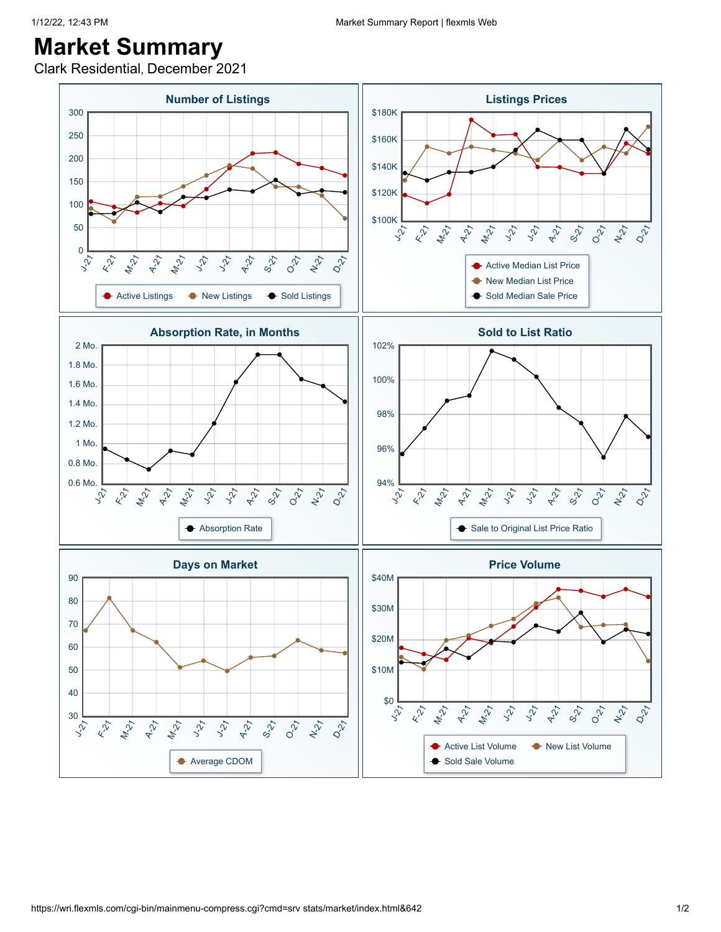Clark Residential, December 2021

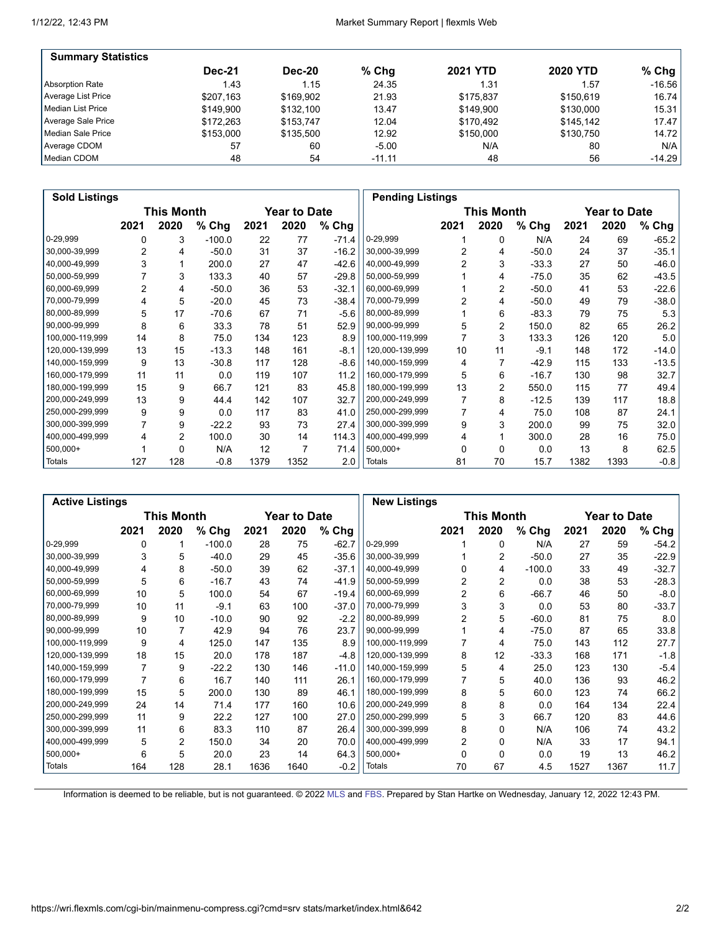| <b>Summary Statistics</b> |               |               |          |                 |                 |          |
|---------------------------|---------------|---------------|----------|-----------------|-----------------|----------|
|                           | <b>Dec-21</b> | <b>Dec-20</b> | % Chq    | <b>2021 YTD</b> | <b>2020 YTD</b> | $%$ Chg  |
| Absorption Rate           | 1.43          | 1.15          | 24.35    | 1.31            | 1.57            | $-16.56$ |
| Average List Price        | \$207.163     | \$169.902     | 21.93    | \$175.837       | \$150.619       | 16.74    |
| Median List Price         | \$149.900     | \$132.100     | 13.47    | \$149.900       | \$130,000       | 15.31    |
| Average Sale Price        | \$172.263     | \$153.747     | 12.04    | \$170.492       | \$145.142       | 17.47    |
| Median Sale Price         | \$153,000     | \$135.500     | 12.92    | \$150,000       | \$130.750       | 14.72    |
| Average CDOM              | 57            | 60            | $-5.00$  | N/A             | 80              | N/A      |
| Median CDOM               | 48            | 54            | $-11.11$ | 48              | 56              | $-14.29$ |

| <b>Sold Listings</b> |                |                   |          |      |                     |         |                 | <b>Pending Listings</b> |                |         |      |              |         |
|----------------------|----------------|-------------------|----------|------|---------------------|---------|-----------------|-------------------------|----------------|---------|------|--------------|---------|
|                      |                | <b>This Month</b> |          |      | <b>Year to Date</b> |         |                 |                         | This Month     |         |      | Year to Date |         |
|                      | 2021           | 2020              | % Chg    | 2021 | 2020                | % Chg   |                 | 2021                    | 2020           | % Chg   | 2021 | 2020         | % Chg   |
| 0-29,999             | 0              | 3                 | $-100.0$ | 22   | 77                  | $-71.4$ | 0-29,999        |                         | 0              | N/A     | 24   | 69           | $-65.2$ |
| 30,000-39,999        | $\overline{2}$ | 4                 | $-50.0$  | 31   | 37                  | $-16.2$ | 30,000-39,999   | 2                       | 4              | $-50.0$ | 24   | 37           | $-35.1$ |
| 40,000-49,999        | 3              |                   | 200.0    | 27   | 47                  | $-42.6$ | 40,000-49,999   |                         | 3              | $-33.3$ | 27   | 50           | $-46.0$ |
| 50,000-59,999        |                | 3                 | 133.3    | 40   | 57                  | $-29.8$ | 50,000-59,999   |                         | 4              | $-75.0$ | 35   | 62           | $-43.5$ |
| 60,000-69,999        | $\overline{2}$ | 4                 | $-50.0$  | 36   | 53                  | $-32.1$ | 60,000-69,999   |                         | $\overline{2}$ | $-50.0$ | 41   | 53           | $-22.6$ |
| 70,000-79,999        | 4              | 5                 | $-20.0$  | 45   | 73                  | $-38.4$ | 70,000-79,999   |                         | 4              | $-50.0$ | 49   | 79           | $-38.0$ |
| 80,000-89,999        | 5              | 17                | $-70.6$  | 67   | 71                  | $-5.6$  | 80,000-89,999   |                         | 6              | $-83.3$ | 79   | 75           | 5.3     |
| 90,000-99,999        | 8              | 6                 | 33.3     | 78   | 51                  | 52.9    | 90,000-99,999   | 5                       | 2              | 150.0   | 82   | 65           | 26.2    |
| 100,000-119,999      | 14             | 8                 | 75.0     | 134  | 123                 | 8.9     | 100,000-119,999 |                         | 3              | 133.3   | 126  | 120          | 5.0     |
| 120,000-139,999      | 13             | 15                | $-13.3$  | 148  | 161                 | $-8.1$  | 120,000-139,999 | 10                      | 11             | $-9.1$  | 148  | 172          | $-14.0$ |
| 140,000-159,999      | 9              | 13                | $-30.8$  | 117  | 128                 | $-8.6$  | 140,000-159,999 | 4                       |                | $-42.9$ | 115  | 133          | $-13.5$ |
| 160,000-179,999      | 11             | 11                | 0.0      | 119  | 107                 | 11.2    | 160,000-179,999 | 5                       | 6              | $-16.7$ | 130  | 98           | 32.7    |
| 180,000-199,999      | 15             | 9                 | 66.7     | 121  | 83                  | 45.8    | 180,000-199,999 | 13                      | $\overline{2}$ | 550.0   | 115  | 77           | 49.4    |
| 200,000-249,999      | 13             | 9                 | 44.4     | 142  | 107                 | 32.7    | 200,000-249,999 |                         | 8              | $-12.5$ | 139  | 117          | 18.8    |
| 250,000-299,999      | 9              | 9                 | 0.0      | 117  | 83                  | 41.0    | 250,000-299,999 |                         | 4              | 75.0    | 108  | 87           | 24.1    |
| 300,000-399,999      | 7              | 9                 | -22.2    | 93   | 73                  | 27.4    | 300,000-399,999 | 9                       | 3              | 200.0   | 99   | 75           | 32.0    |
| 400,000-499,999      | 4              | 2                 | 100.0    | 30   | 14                  | 114.3   | 400,000-499,999 | 4                       |                | 300.0   | 28   | 16           | 75.0    |
| 500,000+             |                | 0                 | N/A      | 12   |                     | 71.4    | $500,000+$      | $\Omega$                | $\Omega$       | 0.0     | 13   | 8            | 62.5    |
| Totals               | 127            | 128               | $-0.8$   | 1379 | 1352                | 2.0     | Totals          | 81                      | 70             | 15.7    | 1382 | 1393         | $-0.8$  |

|                 | <b>Active Listings</b> |                   |          |      |                     |         |                 | <b>New Listings</b> |                   |          |      |                     |         |
|-----------------|------------------------|-------------------|----------|------|---------------------|---------|-----------------|---------------------|-------------------|----------|------|---------------------|---------|
|                 |                        | <b>This Month</b> |          |      | <b>Year to Date</b> |         |                 |                     | <b>This Month</b> |          |      | <b>Year to Date</b> |         |
|                 | 2021                   | 2020              | % Chg    | 2021 | 2020                | % Chg   |                 | 2021                | 2020              | $%$ Chg  | 2021 | 2020                | % Chg   |
| 0-29,999        | 0                      |                   | $-100.0$ | 28   | 75                  | $-62.7$ | 0-29,999        |                     | 0                 | N/A      | 27   | 59                  | $-54.2$ |
| 30,000-39,999   | 3                      | 5                 | $-40.0$  | 29   | 45                  | $-35.6$ | 30,000-39,999   |                     | 2                 | $-50.0$  | 27   | 35                  | $-22.9$ |
| 40,000-49,999   | 4                      | 8                 | $-50.0$  | 39   | 62                  | $-37.1$ | 40,000-49,999   | 0                   | 4                 | $-100.0$ | 33   | 49                  | $-32.7$ |
| 50,000-59,999   | 5                      | 6                 | $-16.7$  | 43   | 74                  | $-41.9$ | 50,000-59,999   | 2                   | $\overline{2}$    | 0.0      | 38   | 53                  | $-28.3$ |
| 60,000-69,999   | 10                     | 5                 | 100.0    | 54   | 67                  | $-19.4$ | 60,000-69,999   | 2                   | 6                 | $-66.7$  | 46   | 50                  | $-8.0$  |
| 70,000-79,999   | 10                     | 11                | $-9.1$   | 63   | 100                 | $-37.0$ | 70,000-79,999   | 3                   | 3                 | 0.0      | 53   | 80                  | $-33.7$ |
| 80,000-89,999   | 9                      | 10                | $-10.0$  | 90   | 92                  | $-2.2$  | 80,000-89,999   |                     | 5                 | $-60.0$  | 81   | 75                  | 8.0     |
| 90,000-99,999   | 10                     | 7                 | 42.9     | 94   | 76                  | 23.7    | 90,000-99,999   |                     | 4                 | $-75.0$  | 87   | 65                  | 33.8    |
| 100,000-119,999 | 9                      | 4                 | 125.0    | 147  | 135                 | 8.9     | 100,000-119,999 |                     | 4                 | 75.0     | 143  | 112                 | 27.7    |
| 120,000-139,999 | 18                     | 15                | 20.0     | 178  | 187                 | $-4.8$  | 120,000-139,999 | 8                   | 12                | $-33.3$  | 168  | 171                 | $-1.8$  |
| 140,000-159,999 | 7                      | 9                 | $-22.2$  | 130  | 146                 | $-11.0$ | 140,000-159,999 | 5                   | 4                 | 25.0     | 123  | 130                 | $-5.4$  |
| 160,000-179,999 | 7                      | 6                 | 16.7     | 140  | 111                 | 26.1    | 160,000-179,999 |                     | 5                 | 40.0     | 136  | 93                  | 46.2    |
| 180,000-199,999 | 15                     | 5                 | 200.0    | 130  | 89                  | 46.1    | 180,000-199,999 | 8                   | 5                 | 60.0     | 123  | 74                  | 66.2    |
| 200,000-249,999 | 24                     | 14                | 71.4     | 177  | 160                 | 10.6    | 200,000-249,999 | 8                   | 8                 | 0.0      | 164  | 134                 | 22.4    |
| 250,000-299,999 | 11                     | 9                 | 22.2     | 127  | 100                 | 27.0    | 250,000-299,999 | 5                   | 3                 | 66.7     | 120  | 83                  | 44.6    |
| 300,000-399,999 | 11                     | 6                 | 83.3     | 110  | 87                  | 26.4    | 300,000-399,999 | 8                   | $\Omega$          | N/A      | 106  | 74                  | 43.2    |
| 400,000-499,999 | 5                      | 2                 | 150.0    | 34   | 20                  | 70.0    | 400,000-499,999 | 2                   | $\Omega$          | N/A      | 33   | 17                  | 94.1    |
| 500,000+        | 6                      | 5                 | 20.0     | 23   | 14                  | 64.3    | $500,000+$      | $\Omega$            | $\Omega$          | 0.0      | 19   | 13                  | 46.2    |
| Totals          | 164                    | 128               | 28.1     | 1636 | 1640                | $-0.2$  | Totals          | 70                  | 67                | 4.5      | 1527 | 1367                | 11.7    |

Information is deemed to be reliable, but is not guaranteed. © 2022 [MLS](http://www.wristinc.com/) and [FBS.](http://www.flexmls.com/copyright_notice.html?2) Prepared by Stan Hartke on Wednesday, January 12, 2022 12:43 PM.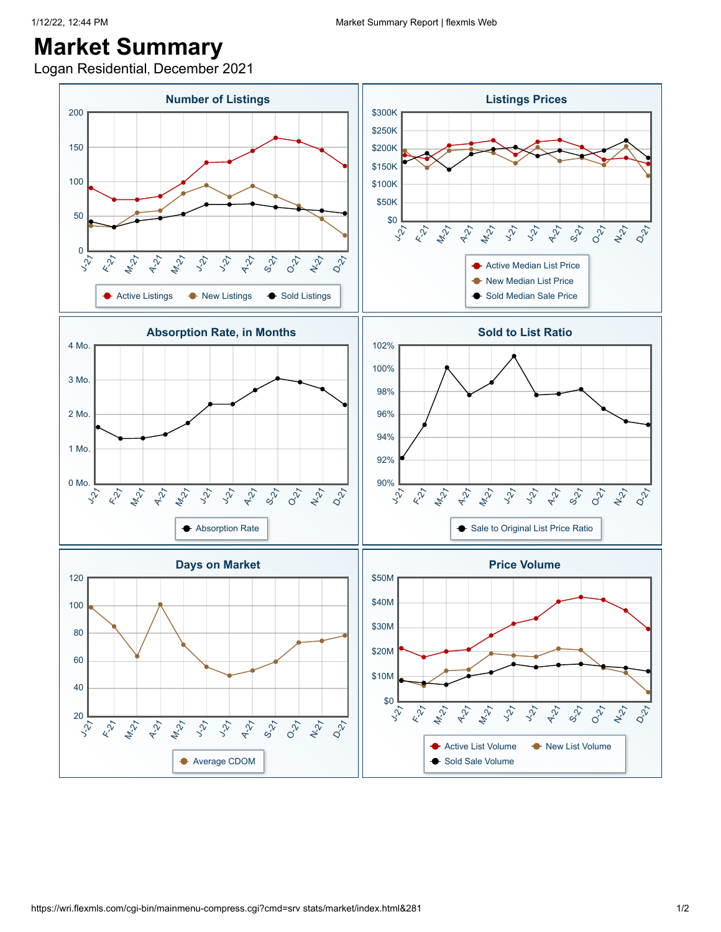Logan Residential, December 2021

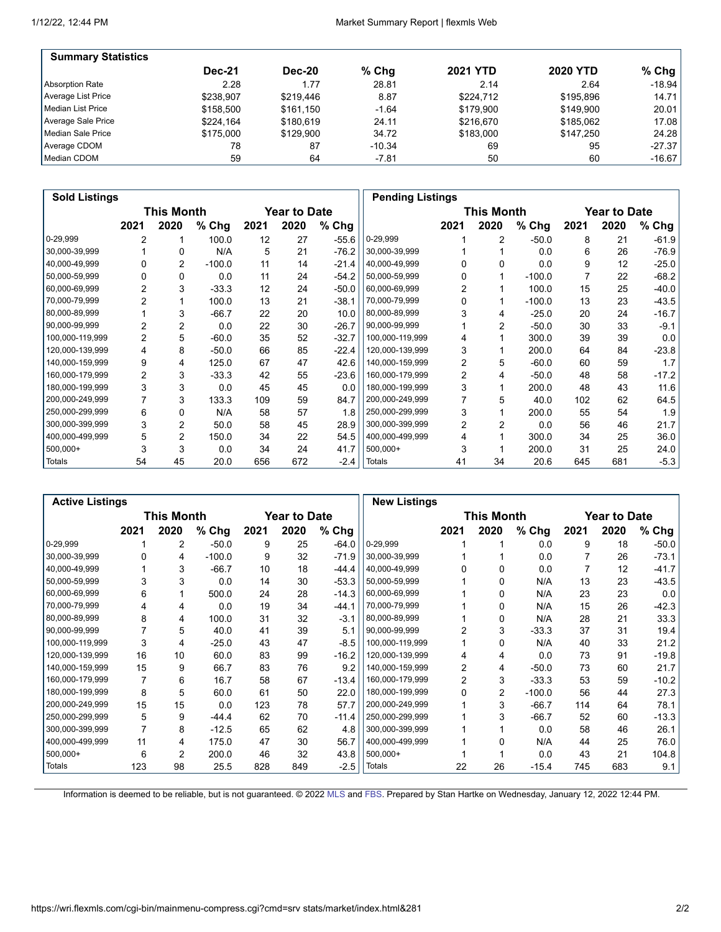| <b>Summary Statistics</b> |               |               |          |                 |                 |          |
|---------------------------|---------------|---------------|----------|-----------------|-----------------|----------|
|                           | <b>Dec-21</b> | <b>Dec-20</b> | % Chq    | <b>2021 YTD</b> | <b>2020 YTD</b> | $%$ Chg  |
| Absorption Rate           | 2.28          | 1.77          | 28.81    | 2.14            | 2.64            | $-18.94$ |
| Average List Price        | \$238.907     | \$219.446     | 8.87     | \$224.712       | \$195.896       | 14.71    |
| Median List Price         | \$158.500     | \$161,150     | $-1.64$  | \$179.900       | \$149.900       | 20.01    |
| Average Sale Price        | \$224.164     | \$180.619     | 24.11    | \$216.670       | \$185.062       | 17.08    |
| Median Sale Price         | \$175,000     | \$129.900     | 34.72    | \$183,000       | \$147.250       | 24.28    |
| Average CDOM              | 78            | 87            | $-10.34$ | 69              | 95              | $-27.37$ |
| Median CDOM               | 59            | 64            | $-7.81$  | 50              | 60              | $-16.67$ |

| <b>Sold Listings</b> |                |            |          |      |                     |         |                 | <b>Pending Listings</b> |                   |          |      |                     |         |
|----------------------|----------------|------------|----------|------|---------------------|---------|-----------------|-------------------------|-------------------|----------|------|---------------------|---------|
|                      |                | This Month |          |      | <b>Year to Date</b> |         |                 |                         | <b>This Month</b> |          |      | <b>Year to Date</b> |         |
|                      | 2021           | 2020       | % Chg    | 2021 | 2020                | % Chg   |                 | 2021                    | 2020              | % Chg    | 2021 | 2020                | % Chg   |
| 0-29,999             | 2              |            | 100.0    | 12   | 27                  | $-55.6$ | 0-29,999        |                         | 2                 | $-50.0$  | 8    | 21                  | $-61.9$ |
| 30,000-39,999        |                | 0          | N/A      | 5    | 21                  | $-76.2$ | 30,000-39,999   |                         |                   | 0.0      | 6    | 26                  | $-76.9$ |
| 40,000-49,999        | U              | 2          | $-100.0$ | 11   | 14                  | $-21.4$ | 40,000-49,999   | U                       | $\Omega$          | 0.0      | 9    | 12                  | $-25.0$ |
| 50,000-59,999        |                | 0          | 0.0      | 11   | 24                  | $-54.2$ | 50,000-59,999   |                         |                   | $-100.0$ |      | 22                  | $-68.2$ |
| 60,000-69,999        | $\overline{2}$ | 3          | $-33.3$  | 12   | 24                  | $-50.0$ | 60,000-69,999   | 2                       |                   | 100.0    | 15   | 25                  | $-40.0$ |
| 70,000-79,999        | 2              |            | 100.0    | 13   | 21                  | $-38.1$ | 70,000-79,999   | $\Omega$                |                   | $-100.0$ | 13   | 23                  | $-43.5$ |
| 80,000-89,999        |                | 3          | $-66.7$  | 22   | 20                  | 10.0    | 80,000-89,999   |                         | 4                 | $-25.0$  | 20   | 24                  | $-16.7$ |
| 90,000-99,999        | 2              | 2          | 0.0      | 22   | 30                  | $-26.7$ | 90,000-99,999   |                         | 2                 | $-50.0$  | 30   | 33                  | $-9.1$  |
| 100,000-119,999      | $\overline{2}$ | 5          | $-60.0$  | 35   | 52                  | $-32.7$ | 100,000-119,999 |                         |                   | 300.0    | 39   | 39                  | 0.0     |
| 120,000-139,999      | 4              | 8          | $-50.0$  | 66   | 85                  | $-22.4$ | 120,000-139,999 | 3                       |                   | 200.0    | 64   | 84                  | $-23.8$ |
| 140,000-159,999      | 9              | 4          | 125.0    | 67   | 47                  | 42.6    | 140,000-159,999 | $\overline{2}$          | 5                 | $-60.0$  | 60   | 59                  | 1.7     |
| 160,000-179,999      | $\overline{2}$ | 3          | $-33.3$  | 42   | 55                  | $-23.6$ | 160,000-179,999 | 2                       | 4                 | $-50.0$  | 48   | 58                  | $-17.2$ |
| 180,000-199,999      | 3              | 3          | 0.0      | 45   | 45                  | 0.0     | 180,000-199,999 | 3                       |                   | 200.0    | 48   | 43                  | 11.6    |
| 200,000-249,999      |                | 3          | 133.3    | 109  | 59                  | 84.7    | 200,000-249,999 |                         | 5                 | 40.0     | 102  | 62                  | 64.5    |
| 250,000-299,999      | 6              | 0          | N/A      | 58   | 57                  | 1.8     | 250,000-299,999 | 3                       |                   | 200.0    | 55   | 54                  | 1.9     |
| 300,000-399,999      | 3              | 2          | 50.0     | 58   | 45                  | 28.9    | 300,000-399,999 | 2                       | 2                 | 0.0      | 56   | 46                  | 21.7    |
| 400,000-499,999      | 5              | 2          | 150.0    | 34   | 22                  | 54.5    | 400,000-499,999 | 4                       |                   | 300.0    | 34   | 25                  | 36.0    |
| $500,000+$           | 3              | 3          | 0.0      | 34   | 24                  | 41.7    | $500,000+$      | 3                       |                   | 200.0    | 31   | 25                  | 24.0    |
| Totals               | 54             | 45         | 20.0     | 656  | 672                 | $-2.4$  | Totals          | 41                      | 34                | 20.6     | 645  | 681                 | $-5.3$  |

|                 | <b>Active Listings</b> |                |          |      |              |         |                 | <b>New Listings</b> |            |          |      |                     |         |
|-----------------|------------------------|----------------|----------|------|--------------|---------|-----------------|---------------------|------------|----------|------|---------------------|---------|
|                 |                        | This Month     |          |      | Year to Date |         |                 |                     | This Month |          |      | <b>Year to Date</b> |         |
|                 | 2021                   | 2020           | % Chg    | 2021 | 2020         | % Chg   |                 | 2021                | 2020       | $%$ Chg  | 2021 | 2020                | $%$ Chg |
| 0-29,999        |                        | 2              | $-50.0$  | 9    | 25           | $-64.0$ | 0-29,999        |                     |            | 0.0      | 9    | 18                  | $-50.0$ |
| 30,000-39,999   |                        | 4              | $-100.0$ | 9    | 32           | $-71.9$ | 30,000-39,999   |                     |            | 0.0      |      | 26                  | $-73.1$ |
| 40,000-49,999   |                        | 3              | $-66.7$  | 10   | 18           | $-44.4$ | 40,000-49,999   |                     | 0          | 0.0      |      | 12                  | $-41.7$ |
| 50,000-59,999   | 3                      | 3              | 0.0      | 14   | 30           | $-53.3$ | 50,000-59,999   |                     | 0          | N/A      | 13   | 23                  | $-43.5$ |
| 60,000-69,999   | 6                      |                | 500.0    | 24   | 28           | $-14.3$ | 60,000-69,999   |                     | 0          | N/A      | 23   | 23                  | 0.0     |
| 70,000-79,999   | 4                      | 4              | 0.0      | 19   | 34           | $-44.1$ | 70,000-79,999   |                     | $\Omega$   | N/A      | 15   | 26                  | $-42.3$ |
| 80,000-89,999   | 8                      | 4              | 100.0    | 31   | 32           | $-3.1$  | 80,000-89,999   |                     | 0          | N/A      | 28   | 21                  | 33.3    |
| 90,000-99,999   |                        | 5              | 40.0     | 41   | 39           | 5.1     | 90,000-99,999   |                     | 3          | $-33.3$  | 37   | 31                  | 19.4    |
| 100,000-119,999 | 3                      | 4              | $-25.0$  | 43   | 47           | $-8.5$  | 100,000-119,999 |                     | $\Omega$   | N/A      | 40   | 33                  | 21.2    |
| 120,000-139,999 | 16                     | 10             | 60.0     | 83   | 99           | $-16.2$ | 120,000-139,999 | 4                   | 4          | 0.0      | 73   | 91                  | $-19.8$ |
| 140,000-159,999 | 15                     | 9              | 66.7     | 83   | 76           | 9.2     | 140,000-159,999 | $\overline{2}$      | 4          | $-50.0$  | 73   | 60                  | 21.7    |
| 160,000-179,999 | 7                      | 6              | 16.7     | 58   | 67           | $-13.4$ | 160,000-179,999 | 2                   | 3          | $-33.3$  | 53   | 59                  | $-10.2$ |
| 180,000-199,999 | 8                      | 5              | 60.0     | 61   | 50           | 22.0    | 180,000-199,999 | 0                   | 2          | $-100.0$ | 56   | 44                  | 27.3    |
| 200,000-249,999 | 15                     | 15             | 0.0      | 123  | 78           | 57.7    | 200,000-249,999 |                     | 3          | $-66.7$  | 114  | 64                  | 78.1    |
| 250,000-299,999 | 5                      | 9              | $-44.4$  | 62   | 70           | $-11.4$ | 250,000-299,999 |                     | 3          | $-66.7$  | 52   | 60                  | $-13.3$ |
| 300,000-399,999 | 7                      | 8              | $-12.5$  | 65   | 62           | 4.8     | 300,000-399,999 |                     |            | 0.0      | 58   | 46                  | 26.1    |
| 400,000-499,999 | 11                     | 4              | 175.0    | 47   | 30           | 56.7    | 400,000-499,999 |                     | $\Omega$   | N/A      | 44   | 25                  | 76.0    |
| 500,000+        | 6                      | $\overline{2}$ | 200.0    | 46   | 32           | 43.8    | 500,000+        |                     |            | 0.0      | 43   | 21                  | 104.8   |
| <b>Totals</b>   | 123                    | 98             | 25.5     | 828  | 849          | $-2.5$  | <b>Totals</b>   | 22                  | 26         | $-15.4$  | 745  | 683                 | 9.1     |

Information is deemed to be reliable, but is not guaranteed. © 2022 [MLS](http://www.wristinc.com/) and [FBS.](http://www.flexmls.com/copyright_notice.html?2) Prepared by Stan Hartke on Wednesday, January 12, 2022 12:44 PM.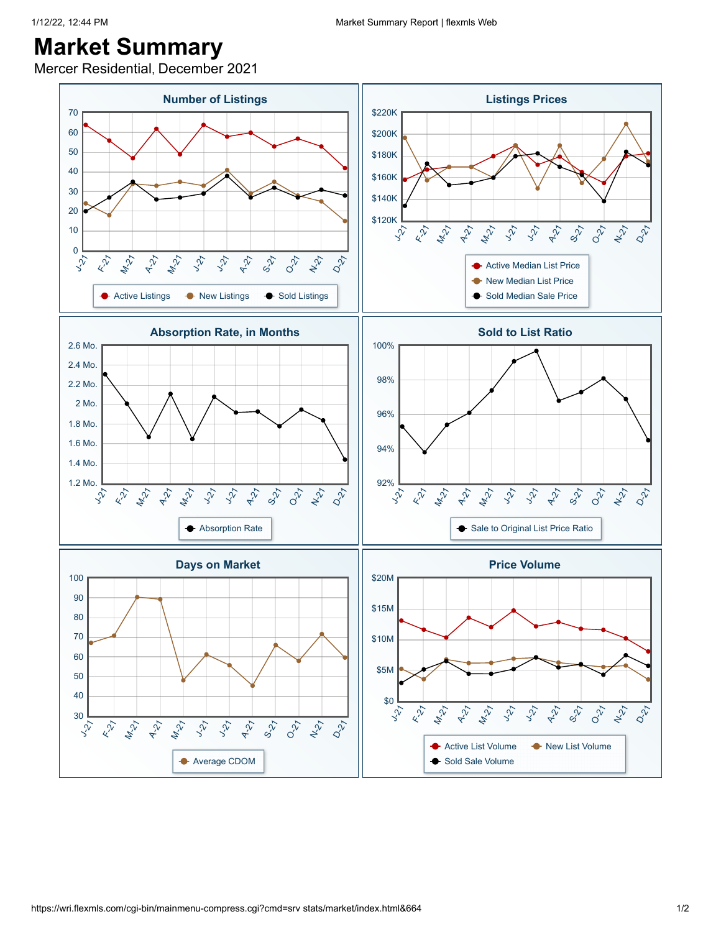Mercer Residential, December 2021

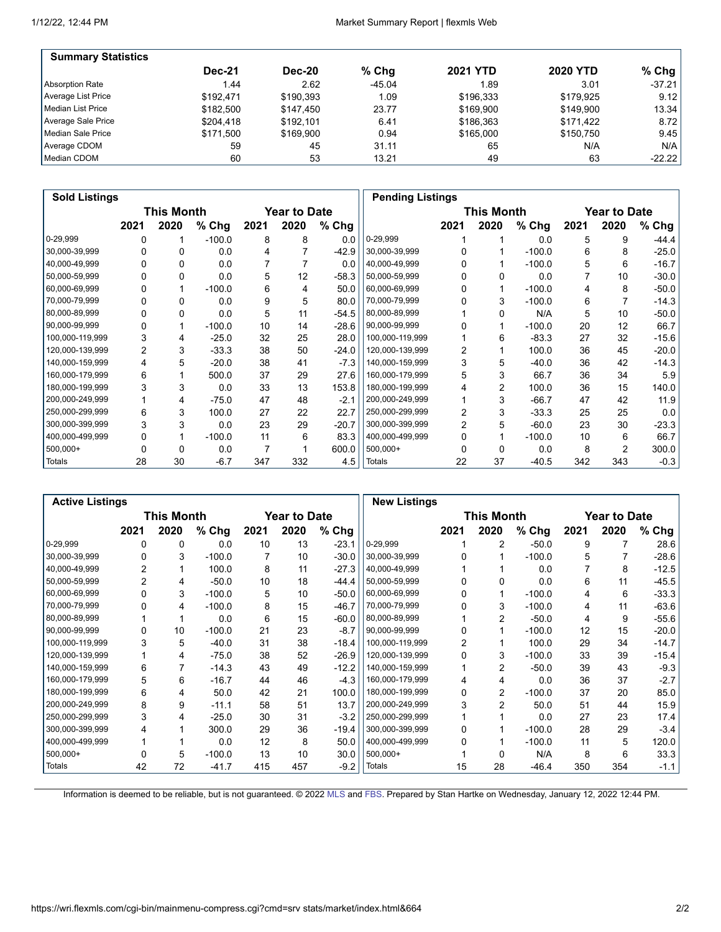| <b>Summary Statistics</b> |               |               |          |                 |                 |          |
|---------------------------|---------------|---------------|----------|-----------------|-----------------|----------|
|                           | <b>Dec-21</b> | <b>Dec-20</b> | % Chq    | <b>2021 YTD</b> | <b>2020 YTD</b> | $%$ Chg  |
| Absorption Rate           | 1.44          | 2.62          | $-45.04$ | 1.89            | 3.01            | $-37.21$ |
| Average List Price        | \$192.471     | \$190.393     | 1.09     | \$196.333       | \$179.925       | 9.12     |
| Median List Price         | \$182.500     | \$147.450     | 23.77    | \$169.900       | \$149.900       | 13.34    |
| Average Sale Price        | \$204.418     | \$192.101     | 6.41     | \$186.363       | \$171.422       | 8.72     |
| Median Sale Price         | \$171.500     | \$169.900     | 0.94     | \$165,000       | \$150.750       | 9.45     |
| Average CDOM              | 59            | 45            | 31.11    | 65              | N/A             | N/A      |
| Median CDOM               | 60            | 53            | 13.21    | 49              | 63              | $-22.22$ |

| <b>Sold Listings</b> |                |            |          |      |                     |         |                 | <b>Pending Listings</b> |            |          |      |              |         |
|----------------------|----------------|------------|----------|------|---------------------|---------|-----------------|-------------------------|------------|----------|------|--------------|---------|
|                      |                | This Month |          |      | <b>Year to Date</b> |         |                 |                         | This Month |          |      | Year to Date |         |
|                      | 2021           | 2020       | % Chg    | 2021 | 2020                | % Chg   |                 | 2021                    | 2020       | $%$ Chg  | 2021 | 2020         | % Chg   |
| 0-29,999             |                |            | $-100.0$ | 8    | 8                   | 0.0     | 0-29,999        |                         |            | 0.0      | 5    | 9            | -44.4   |
| 30,000-39,999        |                |            | 0.0      |      |                     | $-42.9$ | 30,000-39,999   |                         |            | $-100.0$ | 6    | 8            | $-25.0$ |
| 40,000-49,999        |                |            | 0.0      |      |                     | 0.0     | 40,000-49,999   |                         |            | $-100.0$ | 5    | 6            | $-16.7$ |
| 50,000-59,999        |                | 0          | 0.0      | 5    | 12                  | $-58.3$ | 50,000-59,999   |                         |            | 0.0      |      | 10           | $-30.0$ |
| 60,000-69,999        |                |            | $-100.0$ | 6    | 4                   | 50.0    | 60,000-69,999   |                         |            | $-100.0$ | 4    | 8            | $-50.0$ |
| 70,000-79,999        |                | 0          | 0.0      | 9    | 5                   | 80.0    | 70,000-79,999   |                         | 3          | $-100.0$ | 6    |              | $-14.3$ |
| 80,000-89,999        |                | 0          | 0.0      | 5    | 11                  | $-54.5$ | 80,000-89,999   |                         | 0          | N/A      | 5    | 10           | $-50.0$ |
| 90,000-99,999        |                |            | $-100.0$ | 10   | 14                  | $-28.6$ | 90,000-99,999   |                         |            | $-100.0$ | 20   | 12           | 66.7    |
| 100,000-119,999      | 3              | 4          | $-25.0$  | 32   | 25                  | 28.0    | 100,000-119,999 |                         | 6          | $-83.3$  | 27   | 32           | $-15.6$ |
| 120,000-139,999      | $\overline{2}$ | 3          | $-33.3$  | 38   | 50                  | $-24.0$ | 120,000-139,999 | 2                       |            | 100.0    | 36   | 45           | $-20.0$ |
| 140,000-159,999      | 4              | 5          | $-20.0$  | 38   | 41                  | $-7.3$  | 140,000-159,999 | 3                       | 5          | $-40.0$  | 36   | 42           | $-14.3$ |
| 160,000-179,999      | 6              |            | 500.0    | 37   | 29                  | 27.6    | 160,000-179,999 | 5                       | 3          | 66.7     | 36   | 34           | 5.9     |
| 180,000-199,999      | 3              | 3          | 0.0      | 33   | 13                  | 153.8   | 180,000-199,999 |                         | 2          | 100.0    | 36   | 15           | 140.0   |
| 200,000-249,999      |                | 4          | $-75.0$  | 47   | 48                  | $-2.1$  | 200,000-249,999 |                         | 3          | $-66.7$  | 47   | 42           | 11.9    |
| 250,000-299,999      | 6              | 3          | 100.0    | 27   | 22                  | 22.7    | 250,000-299,999 | 2                       | 3          | $-33.3$  | 25   | 25           | 0.0     |
| 300,000-399,999      | 3              | 3          | 0.0      | 23   | 29                  | $-20.7$ | 300,000-399,999 | 2                       | 5          | $-60.0$  | 23   | 30           | $-23.3$ |
| 400,000-499,999      | 0              |            | $-100.0$ | 11   | 6                   | 83.3    | 400,000-499,999 | 0                       |            | $-100.0$ | 10   | 6            | 66.7    |
| $500,000+$           |                | 0          | 0.0      |      |                     | 600.0   | $500,000+$      |                         |            | 0.0      | 8    | 2            | 300.0   |
| Totals               | 28             | 30         | $-6.7$   | 347  | 332                 | 4.5     | Totals          | 22                      | 37         | $-40.5$  | 342  | 343          | $-0.3$  |

| <b>Active Listings</b> |                |                   |          |      |              |         | <b>New Listings</b> |              |                   |          |      |                     |         |
|------------------------|----------------|-------------------|----------|------|--------------|---------|---------------------|--------------|-------------------|----------|------|---------------------|---------|
|                        |                | <b>This Month</b> |          |      | Year to Date |         |                     |              | <b>This Month</b> |          |      | <b>Year to Date</b> |         |
|                        | 2021           | 2020              | % Chg    | 2021 | 2020         | % Chg   |                     | 2021         | 2020              | $%$ Chg  | 2021 | 2020                | $%$ Chg |
| 0-29,999               | 0              | 0                 | 0.0      | 10   | 13           | $-23.1$ | 0-29,999            |              | 2                 | $-50.0$  | 9    |                     | 28.6    |
| 30,000-39,999          |                | 3                 | $-100.0$ |      | 10           | $-30.0$ | 30,000-39,999       |              |                   | $-100.0$ | 5    |                     | $-28.6$ |
| 40,000-49,999          | 2              |                   | 100.0    | 8    | 11           | $-27.3$ | 40,000-49,999       |              |                   | 0.0      |      | 8                   | $-12.5$ |
| 50,000-59,999          | $\overline{2}$ | 4                 | $-50.0$  | 10   | 18           | $-44.4$ | 50,000-59,999       |              |                   | 0.0      | 6    | 11                  | $-45.5$ |
| 60,000-69,999          | 0              | 3                 | $-100.0$ | 5    | 10           | $-50.0$ | 60,000-69,999       | 0            |                   | $-100.0$ | 4    | 6                   | $-33.3$ |
| 70,000-79,999          |                | 4                 | $-100.0$ | 8    | 15           | $-46.7$ | 70,000-79,999       |              | 3                 | $-100.0$ | 4    | 11                  | $-63.6$ |
| 80,000-89,999          |                |                   | 0.0      | 6    | 15           | $-60.0$ | 80,000-89,999       |              | $\overline{2}$    | $-50.0$  | 4    | 9                   | $-55.6$ |
| 90,000-99,999          | 0              | 10                | $-100.0$ | 21   | 23           | $-8.7$  | 90,000-99,999       |              |                   | $-100.0$ | 12   | 15                  | $-20.0$ |
| 100,000-119,999        | 3              | 5                 | $-40.0$  | 31   | 38           | $-18.4$ | 100,000-119,999     | 2            |                   | 100.0    | 29   | 34                  | $-14.7$ |
| 120,000-139,999        |                | 4                 | -75.0    | 38   | 52           | $-26.9$ | 120,000-139,999     | <sup>0</sup> | 3                 | $-100.0$ | 33   | 39                  | $-15.4$ |
| 140,000-159,999        | 6              |                   | -14.3    | 43   | 49           | $-12.2$ | 140,000-159,999     |              | 2                 | $-50.0$  | 39   | 43                  | $-9.3$  |
| 160,000-179,999        | 5              | 6                 | $-16.7$  | 44   | 46           | $-4.3$  | 160,000-179,999     | 4            | 4                 | 0.0      | 36   | 37                  | $-2.7$  |
| 180,000-199,999        | 6              | 4                 | 50.0     | 42   | 21           | 100.0   | 180,000-199,999     | 0            | $\overline{2}$    | $-100.0$ | 37   | 20                  | 85.0    |
| 200,000-249,999        | 8              | 9                 | $-11.1$  | 58   | 51           | 13.7    | 200,000-249,999     |              | $\overline{2}$    | 50.0     | 51   | 44                  | 15.9    |
| 250,000-299,999        | 3              | 4                 | $-25.0$  | 30   | 31           | $-3.2$  | 250,000-299,999     |              |                   | 0.0      | 27   | 23                  | 17.4    |
| 300,000-399,999        |                |                   | 300.0    | 29   | 36           | $-19.4$ | 300,000-399,999     | 0            |                   | $-100.0$ | 28   | 29                  | $-3.4$  |
| 400,000-499,999        |                |                   | 0.0      | 12   | 8            | 50.0    | 400,000-499,999     | <sup>0</sup> |                   | $-100.0$ | 11   | 5                   | 120.0   |
| 500,000+               |                | 5                 | $-100.0$ | 13   | 10           | 30.0    | $500,000+$          |              | O                 | N/A      | 8    | 6                   | 33.3    |
| Totals                 | 42             | 72                | $-41.7$  | 415  | 457          | $-9.2$  | Totals              | 15           | 28                | $-46.4$  | 350  | 354                 | $-1.1$  |

Information is deemed to be reliable, but is not guaranteed. © 2022 [MLS](http://www.wristinc.com/) and [FBS.](http://www.flexmls.com/copyright_notice.html?2) Prepared by Stan Hartke on Wednesday, January 12, 2022 12:44 PM.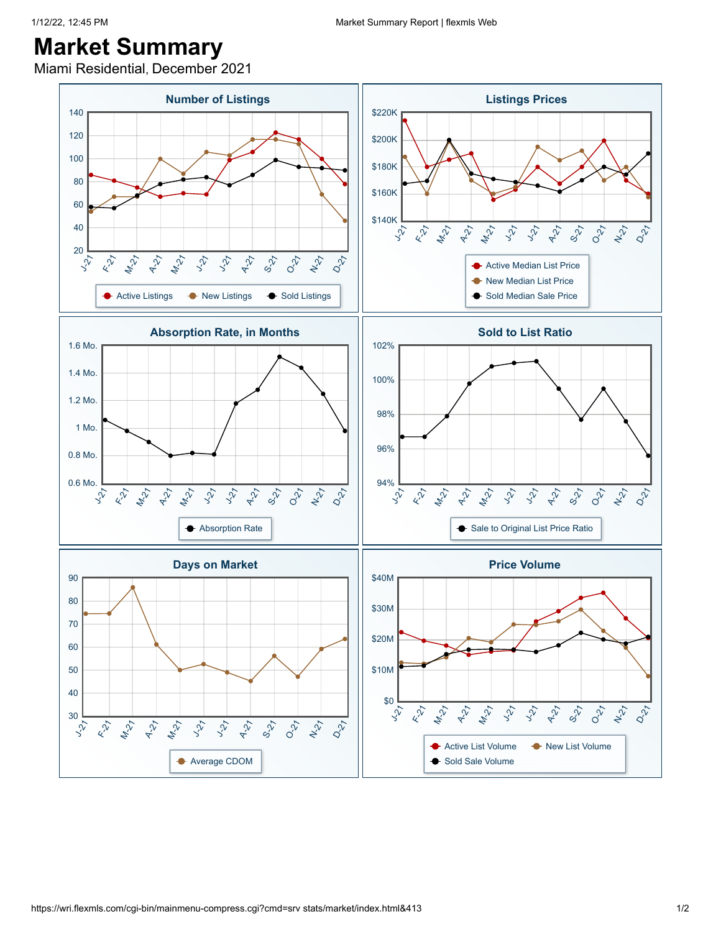Miami Residential, December 2021

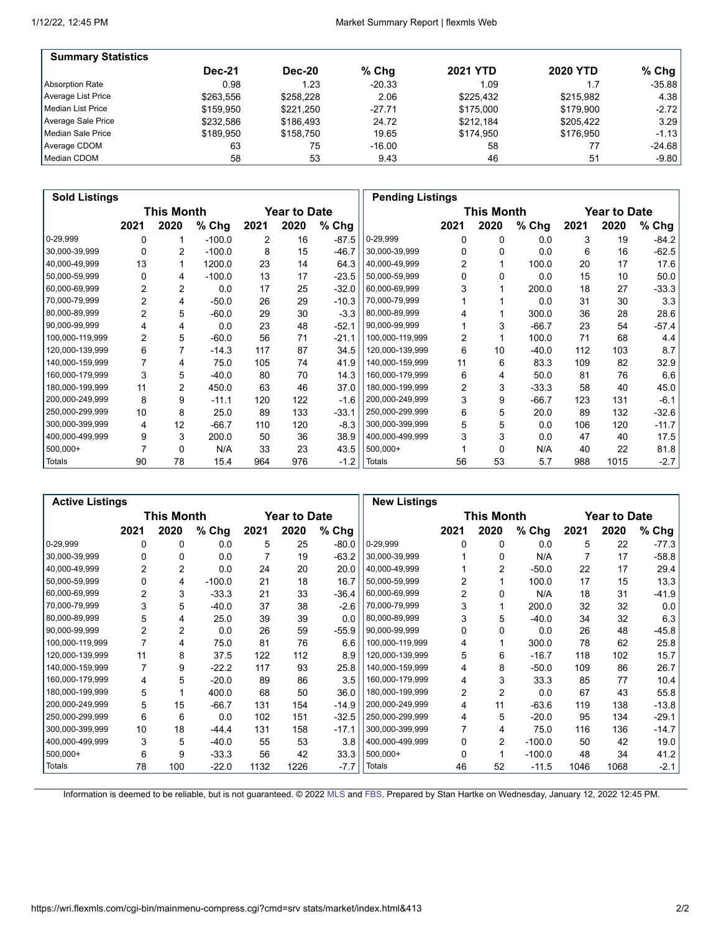| <b>Summary Statistics</b> |               |               |          |                 |                 |          |
|---------------------------|---------------|---------------|----------|-----------------|-----------------|----------|
|                           | <b>Dec-21</b> | <b>Dec-20</b> | % Chq    | <b>2021 YTD</b> | <b>2020 YTD</b> | $%$ Chg  |
| Absorption Rate           | 0.98          | 1.23          | $-20.33$ | 1.09            | 1.7             | $-35.88$ |
| Average List Price        | \$263.556     | \$258.228     | 2.06     | \$225.432       | \$215.982       | 4.38     |
| Median List Price         | \$159,950     | \$221.250     | $-27.71$ | \$175,000       | \$179.900       | $-2.72$  |
| Average Sale Price        | \$232.586     | \$186.493     | 24.72    | \$212.184       | \$205.422       | 3.29     |
| Median Sale Price         | \$189.950     | \$158.750     | 19.65    | \$174.950       | \$176.950       | $-1.13$  |
| Average CDOM              | 63            | 75            | $-16.00$ | 58              | 77              | $-24.68$ |
| Median CDOM               | 58            | 53            | 9.43     | 46              | 51              | $-9.80$  |

| <b>Sold Listings</b> |                |            |          |      |                     |         |                 | <b>Pending Listings</b> |            |         |      |                     |         |
|----------------------|----------------|------------|----------|------|---------------------|---------|-----------------|-------------------------|------------|---------|------|---------------------|---------|
|                      |                | This Month |          |      | <b>Year to Date</b> |         |                 |                         | This Month |         |      | <b>Year to Date</b> |         |
|                      | 2021           | 2020       | % Chg    | 2021 | 2020                | % Chg   |                 | 2021                    | 2020       | % Chg   | 2021 | 2020                | % Chg   |
| 0-29,999             |                |            | $-100.0$ | 2    | 16                  | $-87.5$ | 0-29,999        | 0                       | 0          | 0.0     | 3    | 19                  | $-84.2$ |
| 30,000-39,999        | 0              | 2          | $-100.0$ | 8    | 15                  | $-46.7$ | 30,000-39,999   | 0                       | 0          | 0.0     | 6    | 16                  | $-62.5$ |
| 40,000-49,999        | 13             |            | 1200.0   | 23   | 14                  | 64.3    | 40,000-49,999   | 2                       |            | 100.0   | 20   | 17                  | 17.6    |
| 50,000-59,999        | 0              | 4          | $-100.0$ | 13   | 17                  | $-23.5$ | 50,000-59,999   | O                       | $\Omega$   | 0.0     | 15   | 10                  | 50.0    |
| 60,000-69,999        | 2              | 2          | 0.0      | 17   | 25                  | $-32.0$ | 60,000-69,999   |                         |            | 200.0   | 18   | 27                  | -33.3   |
| 70,000-79,999        | 2              | 4          | $-50.0$  | 26   | 29                  | $-10.3$ | 70,000-79,999   |                         |            | 0.0     | 31   | 30                  | 3.3     |
| 80,000-89,999        | $\overline{2}$ | 5          | $-60.0$  | 29   | 30                  | $-3.3$  | 80,000-89,999   |                         |            | 300.0   | 36   | 28                  | 28.6    |
| 90,000-99,999        | 4              | 4          | 0.0      | 23   | 48                  | $-52.1$ | 90,000-99,999   |                         | 3          | $-66.7$ | 23   | 54                  | $-57.4$ |
| 100,000-119,999      | $\overline{2}$ | 5          | $-60.0$  | 56   | 71                  | $-21.1$ | 100,000-119,999 | 2                       |            | 100.0   | 71   | 68                  | 4.4     |
| 120,000-139,999      | 6              | 7          | $-14.3$  | 117  | 87                  | 34.5    | 120,000-139,999 | 6                       | 10         | $-40.0$ | 112  | 103                 | 8.7     |
| 140,000-159,999      |                | 4          | 75.0     | 105  | 74                  | 41.9    | 140,000-159,999 | 11                      | 6          | 83.3    | 109  | 82                  | 32.9    |
| 160,000-179,999      | 3              | 5          | $-40.0$  | 80   | 70                  | 14.3    | 160,000-179,999 | 6                       | 4          | 50.0    | 81   | 76                  | 6.6     |
| 180,000-199,999      | 11             | 2          | 450.0    | 63   | 46                  | 37.0    | 180,000-199,999 | 2                       | 3          | $-33.3$ | 58   | 40                  | 45.0    |
| 200,000-249,999      | 8              | 9          | $-11.1$  | 120  | 122                 | $-1.6$  | 200,000-249,999 | 3                       | 9          | $-66.7$ | 123  | 131                 | $-6.1$  |
| 250,000-299,999      | 10             | 8          | 25.0     | 89   | 133                 | $-33.1$ | 250,000-299,999 | 6                       | 5          | 20.0    | 89   | 132                 | $-32.6$ |
| 300,000-399,999      | 4              | 12         | $-66.7$  | 110  | 120                 | $-8.3$  | 300,000-399,999 | 5                       | 5          | 0.0     | 106  | 120                 | $-11.7$ |
| 400,000-499,999      | 9              | 3          | 200.0    | 50   | 36                  | 38.9    | 400,000-499,999 | 3                       | 3          | 0.0     | 47   | 40                  | 17.5    |
| $500,000+$           |                | 0          | N/A      | 33   | 23                  | 43.5    | $500,000+$      |                         | $\Omega$   | N/A     | 40   | 22                  | 81.8    |
| Totals               | 90             | 78         | 15.4     | 964  | 976                 | $-1.2$  | Totals          | 56                      | 53         | 5.7     | 988  | 1015                | $-2.7$  |

|                 | <b>Active Listings</b> |                   |          |      |              |         |                 | <b>New Listings</b> |                   |          |      |                     |         |
|-----------------|------------------------|-------------------|----------|------|--------------|---------|-----------------|---------------------|-------------------|----------|------|---------------------|---------|
|                 |                        | <b>This Month</b> |          |      | Year to Date |         |                 |                     | <b>This Month</b> |          |      | <b>Year to Date</b> |         |
|                 | 2021                   | 2020              | % Chg    | 2021 | 2020         | % Chg   |                 | 2021                | 2020              | % Chg    | 2021 | 2020                | % Chg   |
| 0-29,999        | 0                      | 0                 | 0.0      | 5    | 25           | $-80.0$ | 0-29,999        | 0                   | 0                 | 0.0      | 5    | 22                  | $-77.3$ |
| 30,000-39,999   | 0                      | 0                 | 0.0      |      | 19           | $-63.2$ | 30,000-39,999   |                     | $\Omega$          | N/A      |      | 17                  | $-58.8$ |
| 40,000-49,999   | 2                      | 2                 | 0.0      | 24   | 20           | 20.0    | 40,000-49,999   |                     | 2                 | $-50.0$  | 22   | 17                  | 29.4    |
| 50,000-59,999   | $\Omega$               | 4                 | $-100.0$ | 21   | 18           | 16.7    | 50,000-59,999   |                     |                   | 100.0    | 17   | 15                  | 13.3    |
| 60,000-69,999   | $\overline{2}$         | 3                 | $-33.3$  | 21   | 33           | $-36.4$ | 60,000-69,999   | 2                   | 0                 | N/A      | 18   | 31                  | $-41.9$ |
| 70,000-79,999   | 3                      | 5                 | $-40.0$  | 37   | 38           | $-2.6$  | 70,000-79,999   | 3                   |                   | 200.0    | 32   | 32                  | 0.0     |
| 80,000-89,999   | 5                      | 4                 | 25.0     | 39   | 39           | 0.0     | 80,000-89,999   | 3                   | 5                 | $-40.0$  | 34   | 32                  | 6.3     |
| 90,000-99,999   | 2                      | 2                 | 0.0      | 26   | 59           | $-55.9$ | 90,000-99,999   |                     | $\Omega$          | 0.0      | 26   | 48                  | $-45.8$ |
| 100,000-119,999 | 7                      | 4                 | 75.0     | 81   | 76           | 6.6     | 100,000-119,999 | 4                   |                   | 300.0    | 78   | 62                  | 25.8    |
| 120,000-139,999 | 11                     | 8                 | 37.5     | 122  | 112          | 8.9     | 120,000-139,999 | 5                   | 6                 | $-16.7$  | 118  | 102                 | 15.7    |
| 140,000-159,999 | 7                      | 9                 | $-22.2$  | 117  | 93           | 25.8    | 140,000-159,999 | 4                   | 8                 | $-50.0$  | 109  | 86                  | 26.7    |
| 160,000-179,999 | 4                      | 5                 | $-20.0$  | 89   | 86           | 3.5     | 160,000-179,999 | 4                   | 3                 | 33.3     | 85   | 77                  | 10.4    |
| 180,000-199,999 | 5                      |                   | 400.0    | 68   | 50           | 36.0    | 180,000-199,999 | 2                   | 2                 | 0.0      | 67   | 43                  | 55.8    |
| 200,000-249,999 | 5                      | 15                | $-66.7$  | 131  | 154          | $-14.9$ | 200,000-249,999 | 4                   | 11                | $-63.6$  | 119  | 138                 | $-13.8$ |
| 250,000-299,999 | 6                      | 6                 | 0.0      | 102  | 151          | $-32.5$ | 250,000-299,999 | 4                   | 5                 | $-20.0$  | 95   | 134                 | $-29.1$ |
| 300,000-399,999 | 10                     | 18                | -44.4    | 131  | 158          | $-17.1$ | 300,000-399,999 |                     | 4                 | 75.0     | 116  | 136                 | $-14.7$ |
| 400,000-499,999 | 3                      | 5                 | $-40.0$  | 55   | 53           | 3.8     | 400,000-499,999 | $\Omega$            | $\overline{2}$    | $-100.0$ | 50   | 42                  | 19.0    |
| $500,000+$      | 6                      | 9                 | $-33.3$  | 56   | 42           | 33.3    | $500,000+$      | $\Omega$            |                   | $-100.0$ | 48   | 34                  | 41.2    |
| Totals          | 78                     | 100               | $-22.0$  | 1132 | 1226         | $-7.7$  | Totals          | 46                  | 52                | $-11.5$  | 1046 | 1068                | $-2.1$  |

Information is deemed to be reliable, but is not guaranteed. © 2022 [MLS](http://www.wristinc.com/) and [FBS.](http://www.flexmls.com/copyright_notice.html?2) Prepared by Stan Hartke on Wednesday, January 12, 2022 12:45 PM.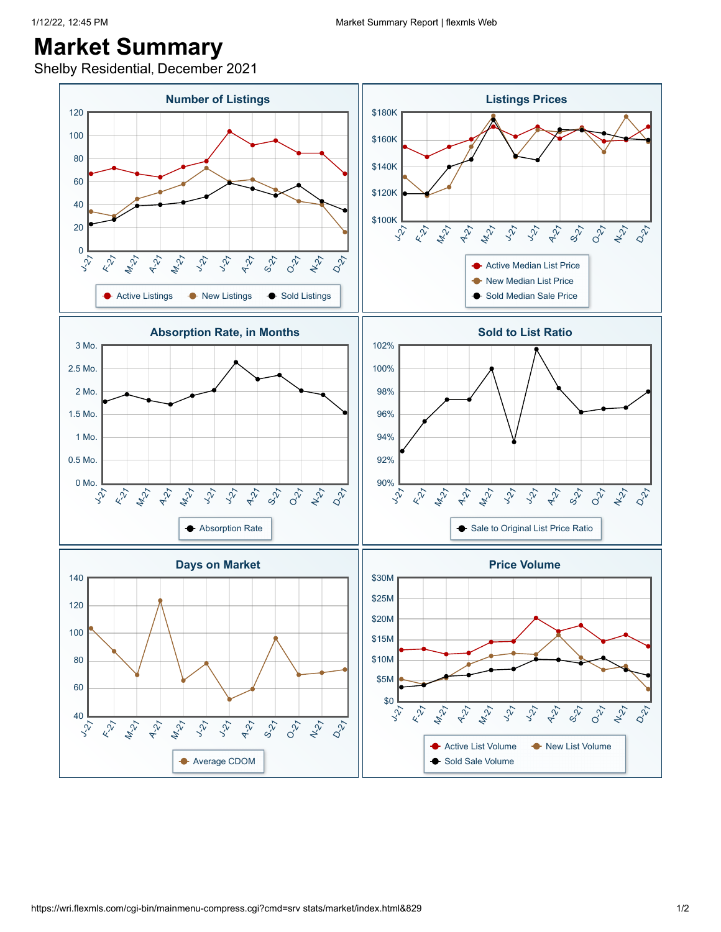Shelby Residential, December 2021